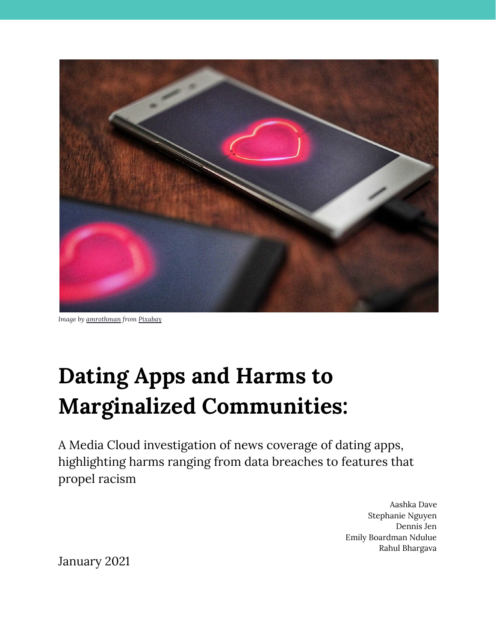

*Image by [amrothman](https://pixabay.com/users/amrothman-13991060/?utm_source=link-attribution&utm_medium=referral&utm_campaign=image&utm_content=4888774) from [Pixabay](https://pixabay.com/?utm_source=link-attribution&utm_medium=referral&utm_campaign=image&utm_content=4888774)*

# **Dating Apps and Harms to Marginalized Communities:**

A Media Cloud investigation of news coverage of dating apps, highlighting harms ranging from data breaches to features that propel racism

> Aashka Dave Stephanie Nguyen Dennis Jen Emily Boardman Ndulue Rahul Bhargava

January 2021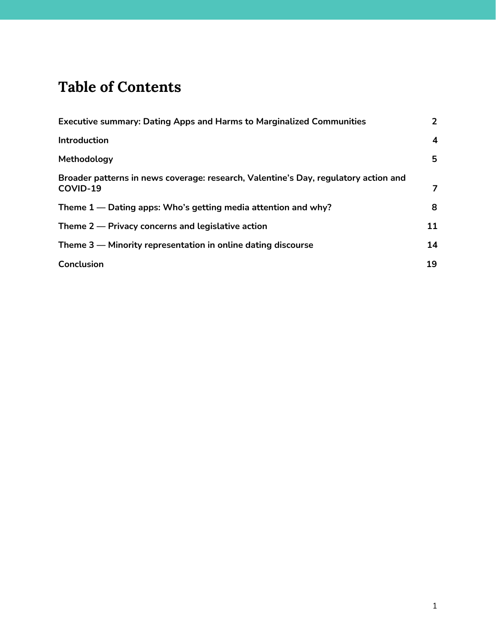### **Table of Contents**

| <b>Executive summary: Dating Apps and Harms to Marginalized Communities</b>                     | $\overline{2}$          |
|-------------------------------------------------------------------------------------------------|-------------------------|
| <b>Introduction</b>                                                                             | $\overline{\mathbf{4}}$ |
| Methodology                                                                                     | 5                       |
| Broader patterns in news coverage: research, Valentine's Day, regulatory action and<br>COVID-19 | 7                       |
| Theme $1$ — Dating apps: Who's getting media attention and why?                                 | 8                       |
| Theme $2$ — Privacy concerns and legislative action                                             | 11                      |
| Theme 3 – Minority representation in online dating discourse                                    | 14                      |
| Conclusion                                                                                      | 19                      |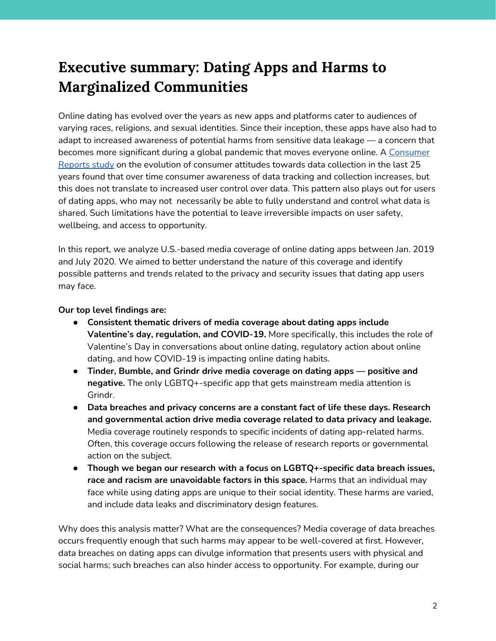### <span id="page-2-0"></span>**Executive summary: Dating Apps and Harms to Marginalized Communities**

Online dating has evolved over the years as new apps and platforms cater to audiences of varying races, religions, and sexual identities. Since their inception, these apps have also had to adapt to increased awareness of potential harms from sensitive data leakage — a concern that becomes more significant during a global pandemic that moves everyone online. A [Consumer](https://digital-lab-wp.consumerreports.org/wp-content/uploads/2020/05/The-Evolution-of-Consumer-Attitudes-Toward-Online-Tracking_5.20.20_FINAL.pdf) [Reports](https://digital-lab-wp.consumerreports.org/wp-content/uploads/2020/05/The-Evolution-of-Consumer-Attitudes-Toward-Online-Tracking_5.20.20_FINAL.pdf) study on the evolution of consumer attitudes towards data collection in the last 25 years found that over time consumer awareness of data tracking and collection increases, but this does not translate to increased user control over data. This pattern also plays out for users of dating apps, who may not necessarily be able to fully understand and control what data is shared. Such limitations have the potential to leave irreversible impacts on user safety, wellbeing, and access to opportunity.

In this report, we analyze U.S.-based media coverage of online dating apps between Jan. 2019 and July 2020. We aimed to better understand the nature of this coverage and identify possible patterns and trends related to the privacy and security issues that dating app users may face.

#### **Our top level findings are:**

- **Consistent thematic drivers of media coverage about dating apps include Valentine's day, regulation, and COVID-19.** More specifically, this includes the role of Valentine's Day in conversations about online dating, regulatory action about online dating, and how COVID-19 is impacting online dating habits.
- **Tinder, Bumble, and Grindr drive media coverage on dating apps — positive and negative.** The only LGBTQ+-specific app that gets mainstream media attention is Grindr.
- **Data breaches and privacy concerns are a constant fact of life these days. Research and governmental action drive media coverage related to data privacy and leakage.** Media coverage routinely responds to specific incidents of dating app-related harms. Often, this coverage occurs following the release of research reports or governmental action on the subject.
- **Though we began our research with a focus on LGBTQ+-specific data breach issues, race and racism are unavoidable factors in this space.** Harms that an individual may face while using dating apps are unique to their social identity. These harms are varied, and include data leaks and discriminatory design features.

Why does this analysis matter? What are the consequences? Media coverage of data breaches occurs frequently enough that such harms may appear to be well-covered at first. However, data breaches on dating apps can divulge information that presents users with physical and social harms; such breaches can also hinder access to opportunity. For example, during our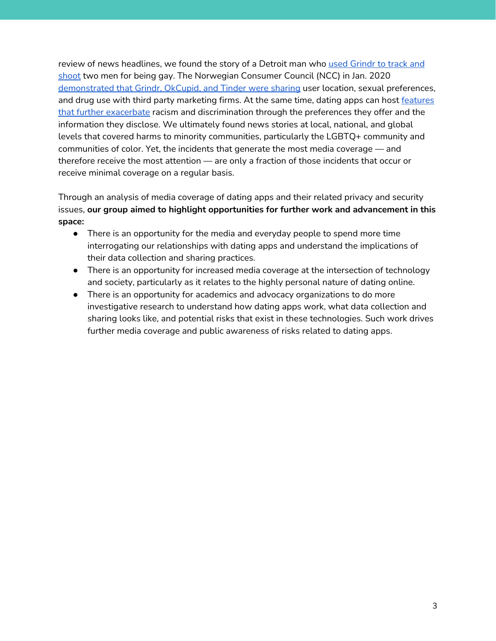review of news headlines, we found the story of a Detroit man who used [Grindr](https://www.kxlf.com/cnn-national/2019/07/12/two-men-in-detroit-were-shot-for-being-gay-prosecutors-say/) to track and [shoot](https://www.kxlf.com/cnn-national/2019/07/12/two-men-in-detroit-were-shot-for-being-gay-prosecutors-say/) two men for being gay. The Norwegian Consumer Council (NCC) in Jan. 2020 [demonstrated](https://www.cbsnews.com/news/twitter-bans-grindr-from-ad-network-following-personal-data-report/) that Grindr, OkCupid, and Tinder were sharing user location, sexual preferences, and drug use with third party marketing firms. At the same time, dating apps can host [features](https://commonwealthtimes.org/2019/11/15/dating-app-preferences-encourage-racism-and-discrimination/) that further [exacerbate](https://commonwealthtimes.org/2019/11/15/dating-app-preferences-encourage-racism-and-discrimination/) racism and discrimination through the preferences they offer and the information they disclose. We ultimately found news stories at local, national, and global levels that covered harms to minority communities, particularly the LGBTQ+ community and communities of color. Yet, the incidents that generate the most media coverage — and therefore receive the most attention — are only a fraction of those incidents that occur or receive minimal coverage on a regular basis.

Through an analysis of media coverage of dating apps and their related privacy and security issues, **our group aimed to highlight opportunities for further work and advancement in this space:**

- There is an opportunity for the media and everyday people to spend more time interrogating our relationships with dating apps and understand the implications of their data collection and sharing practices.
- There is an opportunity for increased media coverage at the intersection of technology and society, particularly as it relates to the highly personal nature of dating online.
- There is an opportunity for academics and advocacy organizations to do more investigative research to understand how dating apps work, what data collection and sharing looks like, and potential risks that exist in these technologies. Such work drives further media coverage and public awareness of risks related to dating apps.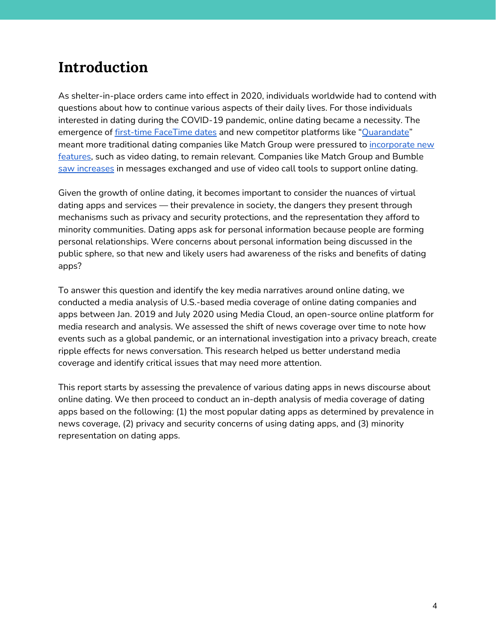#### <span id="page-4-0"></span>**Introduction**

As shelter-in-place orders came into effect in 2020, individuals worldwide had to contend with questions about how to continue various aspects of their daily lives. For those individuals interested in dating during the COVID-19 pandemic, online dating became a necessity. The emergence of first-time [FaceTime](https://www.buzzfeed.com/ryanschocket2/people-are-having-facetime-first-dates-during-quarantine) dates and new competitor platforms like "[Quarandate"](https://www.ny1.com/nyc/all-boroughs/news/2020/04/05/qurandate--dating-during-a-pandemic) meant more traditional dating companies like Match Group were pressured to *[incorporate](https://www.dallasnews.com/business/technology/2020/04/15/match-rolls-out-video-call-feature-vibe-check-for-social-distancing-singles/) new* [features](https://www.dallasnews.com/business/technology/2020/04/15/match-rolls-out-video-call-feature-vibe-check-for-social-distancing-singles/), such as video dating, to remain relevant. Companies like Match Group and Bumble saw [increases](https://www.marketwatch.com/story/online-dating-amid-coronavirus-longer-chats-and-fewer-new-prospects-match-says-2020-03-31) in messages exchanged and use of video call tools to support online dating.

Given the growth of online dating, it becomes important to consider the nuances of virtual dating apps and services — their prevalence in society, the dangers they present through mechanisms such as privacy and security protections, and the representation they afford to minority communities. Dating apps ask for personal information because people are forming personal relationships. Were concerns about personal information being discussed in the public sphere, so that new and likely users had awareness of the risks and benefits of dating apps?

To answer this question and identify the key media narratives around online dating, we conducted a media analysis of U.S.-based media coverage of online dating companies and apps between Jan. 2019 and July 2020 using Media Cloud, an open-source online platform for media research and analysis. We assessed the shift of news coverage over time to note how events such as a global pandemic, or an international investigation into a privacy breach, create ripple effects for news conversation. This research helped us better understand media coverage and identify critical issues that may need more attention.

This report starts by assessing the prevalence of various dating apps in news discourse about online dating. We then proceed to conduct an in-depth analysis of media coverage of dating apps based on the following: (1) the most popular dating apps as determined by prevalence in news coverage, (2) privacy and security concerns of using dating apps, and (3) minority representation on dating apps.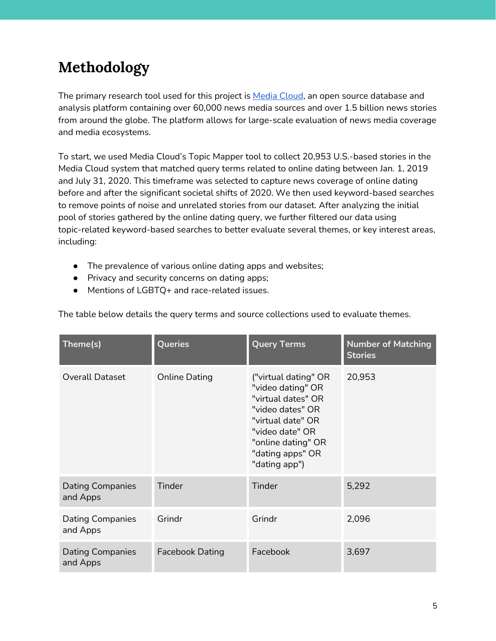# <span id="page-5-0"></span>**Methodology**

The primary research tool used for this project is [Media](https://github.com/mitmedialab/MediaCloud-Web-Tools) Cloud, an open source database and analysis platform containing over 60,000 news media sources and over 1.5 billion news stories from around the globe. The platform allows for large-scale evaluation of news media coverage and media ecosystems.

To start, we used Media Cloud's Topic Mapper tool to collect 20,953 U.S.-based stories in the Media Cloud system that matched query terms related to online dating between Jan. 1, 2019 and July 31, 2020. This timeframe was selected to capture news coverage of online dating before and after the significant societal shifts of 2020. We then used keyword-based searches to remove points of noise and unrelated stories from our dataset. After analyzing the initial pool of stories gathered by the online dating query, we further filtered our data using topic-related keyword-based searches to better evaluate several themes, or key interest areas, including:

- The prevalence of various online dating apps and websites;
- Privacy and security concerns on dating apps;
- Mentions of LGBTQ+ and race-related issues.

| Theme(s)                            | <b>Queries</b>         | <b>Query Terms</b>                                                                                                                                                                     | <b>Number of Matching</b><br><b>Stories</b> |
|-------------------------------------|------------------------|----------------------------------------------------------------------------------------------------------------------------------------------------------------------------------------|---------------------------------------------|
| Overall Dataset                     | <b>Online Dating</b>   | ("virtual dating" OR<br>"video dating" OR<br>"virtual dates" OR<br>"video dates" OR<br>"virtual date" OR<br>"video date" OR<br>"online dating" OR<br>"dating apps" OR<br>"dating app") | 20,953                                      |
| <b>Dating Companies</b><br>and Apps | Tinder                 | Tinder                                                                                                                                                                                 | 5,292                                       |
| <b>Dating Companies</b><br>and Apps | Grindr                 | Grindr                                                                                                                                                                                 | 2,096                                       |
| <b>Dating Companies</b><br>and Apps | <b>Facebook Dating</b> | Facebook                                                                                                                                                                               | 3,697                                       |

The table below details the query terms and source collections used to evaluate themes.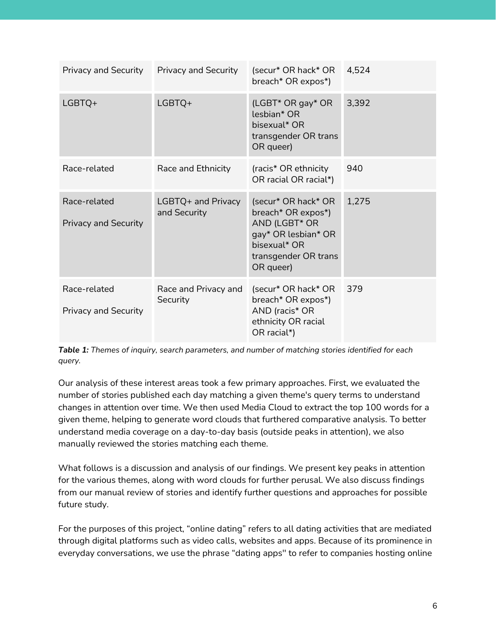| <b>Privacy and Security</b>                 | <b>Privacy and Security</b>        | (secur <sup>*</sup> OR hack <sup>*</sup> OR<br>breach* OR expos*)                                                                      | 4,524 |
|---------------------------------------------|------------------------------------|----------------------------------------------------------------------------------------------------------------------------------------|-------|
| $LGBTQ+$                                    | $LGBTQ+$                           | (LGBT* OR gay* OR<br>lesbian* OR<br>bisexual* OR<br>transgender OR trans<br>OR queer)                                                  | 3,392 |
| Race-related                                | Race and Ethnicity                 | (racis* OR ethnicity<br>OR racial OR racial*)                                                                                          | 940   |
| Race-related<br><b>Privacy and Security</b> | LGBTQ+ and Privacy<br>and Security | (secur* OR hack* OR<br>breach* OR expos*)<br>AND (LGBT* OR<br>gay* OR lesbian* OR<br>bisexual* OR<br>transgender OR trans<br>OR queer) | 1,275 |
| Race-related<br><b>Privacy and Security</b> | Race and Privacy and<br>Security   | (secur* OR hack* OR<br>breach* OR expos*)<br>AND (racis <sup>*</sup> OR<br>ethnicity OR racial<br>OR racial $*)$                       | 379   |

*Table 1: Themes of inquiry, search parameters, and number of matching stories identified for each query.*

Our analysis of these interest areas took a few primary approaches. First, we evaluated the number of stories published each day matching a given theme's query terms to understand changes in attention over time. We then used Media Cloud to extract the top 100 words for a given theme, helping to generate word clouds that furthered comparative analysis. To better understand media coverage on a day-to-day basis (outside peaks in attention), we also manually reviewed the stories matching each theme.

What follows is a discussion and analysis of our findings. We present key peaks in attention for the various themes, along with word clouds for further perusal. We also discuss findings from our manual review of stories and identify further questions and approaches for possible future study.

For the purposes of this project, "online dating" refers to all dating activities that are mediated through digital platforms such as video calls, websites and apps. Because of its prominence in everyday conversations, we use the phrase "dating apps'' to refer to companies hosting online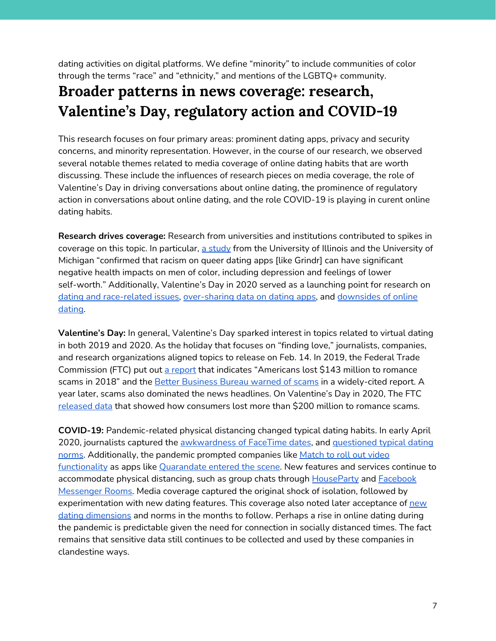dating activities on digital platforms. We define "minority" to include communities of color through the terms "race" and "ethnicity," and mentions of the LGBTQ+ community.

# <span id="page-7-0"></span>**Broader patterns in news coverage: research, Valentine's Day, regulatory action and COVID-19**

This research focuses on four primary areas: prominent dating apps, privacy and security concerns, and minority representation. However, in the course of our research, we observed several notable themes related to media coverage of online dating habits that are worth discussing. These include the influences of research pieces on media coverage, the role of Valentine's Day in driving conversations about online dating, the prominence of regulatory action in conversations about online dating, and the role COVID-19 is playing in curent online dating habits.

**Research drives coverage:** Research from universities and institutions contributed to spikes in coverage on this topic. In particular,  $\underline{a}$  [study](https://www.insider.com/sexual-racism-queer-men-dating-apps-grindr-2019-11) from the University of Illinois and the University of Michigan "confirmed that racism on queer dating apps [like Grindr] can have significant negative health impacts on men of color, including depression and feelings of lower self-worth." Additionally, Valentine's Day in 2020 served as a launching point for research on dating and [race-related](https://www.newsobserver.com/latest-news/article240258471.html) issues, [over-sharing](https://www.insider.com/why-we-overshare-on-dating-apps-but-shouldnt-experts-say-2020-2) data on dating apps, and [downsides](https://www.pewresearch.org/internet/2020/02/06/the-virtues-and-downsides-of-online-dating/) of online [dating.](https://www.pewresearch.org/internet/2020/02/06/the-virtues-and-downsides-of-online-dating/)

**Valentine's Day:** In general, Valentine's Day sparked interest in topics related to virtual dating in both 2019 and 2020. As the holiday that focuses on "finding love," journalists, companies, and research organizations aligned topics to release on Feb. 14. In 2019, the Federal Trade Commission (FTC) put out a [report](https://www.ftc.gov/system/files/documents/reports/consumer-sentinel-network-data-book-2017/consumer_sentinel_data_book_2017.pdf) that indicates "Americans lost \$143 million to romance scams in 2018" and the Better [Business](https://www.channel3000.com/bbb-warns-of-online-dating-romance-scams-on-valentines-day/) Bureau warned of scams in a widely-cited report. A year later, scams also dominated the news headlines. On Valentine's Day in 2020, The FTC [released](https://www.ftc.gov/news-events/press-releases/2020/02/new-ftc-data-show-consumers-reported-losing-more-200-million) data that showed how consumers lost more than \$200 million to romance scams.

**COVID-19:** Pandemic-related physical distancing changed typical dating habits. In early April 2020, journalists captured the [awkwardness](https://www.buzzfeed.com/ryanschocket2/people-are-having-facetime-first-dates-during-quarantine) of FaceTime dates, and [questioned](https://www.beaumontenterprise.com/entertainment/article/Dating-in-the-time-of-coronavirus-15145311.php) typical dating [norms.](https://www.beaumontenterprise.com/entertainment/article/Dating-in-the-time-of-coronavirus-15145311.php) Additionally, the pandemic prompted companies like [Match](https://www.dallasnews.com/business/technology/2020/04/15/match-rolls-out-video-call-feature-vibe-check-for-social-distancing-singles/) to roll out video [functionality](https://www.dallasnews.com/business/technology/2020/04/15/match-rolls-out-video-call-feature-vibe-check-for-social-distancing-singles/) as apps like [Quarandate](https://www.ny1.com/nyc/all-boroughs/news/2020/04/05/qurandate--dating-during-a-pandemic) entered the scene. New features and services continue to accommodate physical distancing, such as group chats through [HouseParty](https://www.theverge.com/2020/4/29/21229590/houseparty-how-to-video-chat-call-games-talk-friends-app-ios-android) and [Facebook](https://www.searchenginejournal.com/facebook-messenger-rooms-drop-in-video-chats-with-up-to-50-people/364214/) [Messenger](https://www.searchenginejournal.com/facebook-messenger-rooms-drop-in-video-chats-with-up-to-50-people/364214/) Rooms. Media coverage captured the original shock of isolation, followed by experimentation with [new](https://www.chicagotribune.com/coronavirus/ct-life-coronavirus-video-dating-05192020-20200519-pltc2ygvcfal7dz72htv3iyb6e-story.html) dating features. This coverage also noted later acceptance of  $\frac{\text{new}}{\text{new}}$ dating [dimensions](https://www.chicagotribune.com/coronavirus/ct-life-coronavirus-video-dating-05192020-20200519-pltc2ygvcfal7dz72htv3iyb6e-story.html) and norms in the months to follow. Perhaps a rise in online dating during the pandemic is predictable given the need for connection in socially distanced times. The fact remains that sensitive data still continues to be collected and used by these companies in clandestine ways.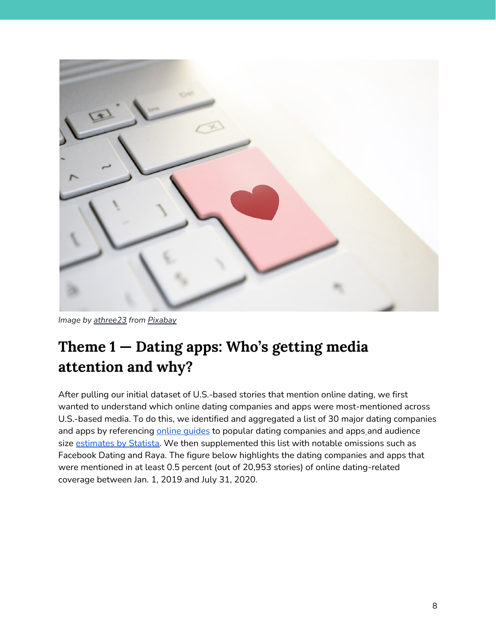

*Image by [athree23](https://pixabay.com/users/athree23-6195572/?utm_source=link-attribution&utm_medium=referral&utm_campaign=image&utm_content=3698156) from [Pixabay](https://pixabay.com/?utm_source=link-attribution&utm_medium=referral&utm_campaign=image&utm_content=3698156)*

# <span id="page-8-0"></span>**Theme 1 — Dating apps: Who's getting media attention and why?**

After pulling our initial dataset of U.S.-based stories that mention online dating, we first wanted to understand which online dating companies and apps were most-mentioned across U.S.-based media. To do this, we identified and aggregated a list of 30 major dating companies [a](https://www.tomsguide.com/best-picks/best-dating-apps)nd apps by referencing online quides to popular dating companies and apps and audience size [estimates](https://www.statista.com/statistics/826778/most-popular-dating-apps-by-audience-size-usa/) by Statista. We then supplemented this list with notable omissions such as Facebook Dating and Raya. The figure below highlights the dating companies and apps that were mentioned in at least 0.5 percent (out of 20,953 stories) of online dating-related coverage between Jan. 1, 2019 and July 31, 2020.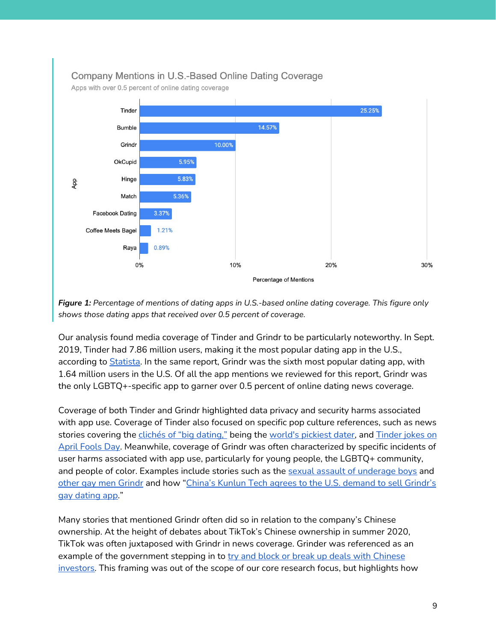#### Company Mentions in U.S.-Based Online Dating Coverage

Apps with over 0.5 percent of online dating coverage



*Figure 1: Percentage of mentions of dating apps in U.S.-based online dating coverage. This figure only shows those dating apps that received over 0.5 percent of coverage.*

Our analysis found media coverage of Tinder and Grindr to be particularly noteworthy. In Sept. 2019, Tinder had 7.86 million users, making it the most popular dating app in the U.S., according to [Statista](https://www.statista.com/statistics/826778/most-popular-dating-apps-by-audience-size-usa/#:~:text=As%20of%20September%202019%2C%20Tinder,5.03%20million%20U.S.%20mobile%20users.). In the same report, Grindr was the sixth most popular dating app, with 1.64 million users in the U.S. Of all the app mentions we reviewed for this report, Grindr was the only LGBTQ+-specific app to garner over 0.5 percent of online dating news coverage.

Coverage of both Tinder and Grindr highlighted data privacy and security harms associated with app use. Coverage of Tinder also focused on specific pop culture references, such as news stories covering the clichés of "big [dating,"](https://www.dailycomet.com/zz/entertainmentlife/20191122/are-you-tinder-or-bumble-type-of-person-clichs-of-big-dating?rssfeed=true) being the world's [pickiest](https://www.latimes.com/lifestyle/story/2020-04-18/i-was-the-worlds-pickiest-dater) dater, and [Tinder](https://www.ellwoodcityledger.com/zz/entertainmentlife/20190401/april-fools-day-2019-best-and-most-cringe-worthy-jokes?rssfeed=true) jokes on April [Fools](https://www.ellwoodcityledger.com/zz/entertainmentlife/20190401/april-fools-day-2019-best-and-most-cringe-worthy-jokes?rssfeed=true) Day. Meanwhile, coverage of Grindr was often characterized by specific incidents of user harms associated with app use, particularly for young people, the LGBTQ+ community, and people of color. Examples include stories such as the sexual assault of [underage](https://www.wzzm13.com/article/news/crime/man-who-met-teen-boy-on-gay-dating-app-charged-with-sexual-assault/69-1675f30f-d685-4e47-9d61-9c227db196ac) boys and other gay men [Grindr](https://www.metroweekly.com/2019/04/texas-man-pleads-guilty-to-using-grindr-to-lure-assault-and-rob-gay-men/) and how "China's Kunlun Tech agrees to the U.S. [demand](https://www.nbcnews.com/feature/nbc-out/china-s-kunlun-tech-agrees-u-s-demand-sell-grindr-n1005386) to sell Grindr's gay [dating](https://www.nbcnews.com/feature/nbc-out/china-s-kunlun-tech-agrees-u-s-demand-sell-grindr-n1005386) app."

Many stories that mentioned Grindr often did so in relation to the company's Chinese ownership. At the height of debates about TikTok's Chinese ownership in summer 2020, TikTok was often juxtaposed with Grindr in news coverage. Grinder was referenced as an example of the government stepping in to try and block or break up deals with [Chinese](https://abcnews.go.com/Technology/wireStory/reports-us-launches-review-china-owned-video-app-66697465) [investors.](https://abcnews.go.com/Technology/wireStory/reports-us-launches-review-china-owned-video-app-66697465) This framing was out of the scope of our core research focus, but highlights how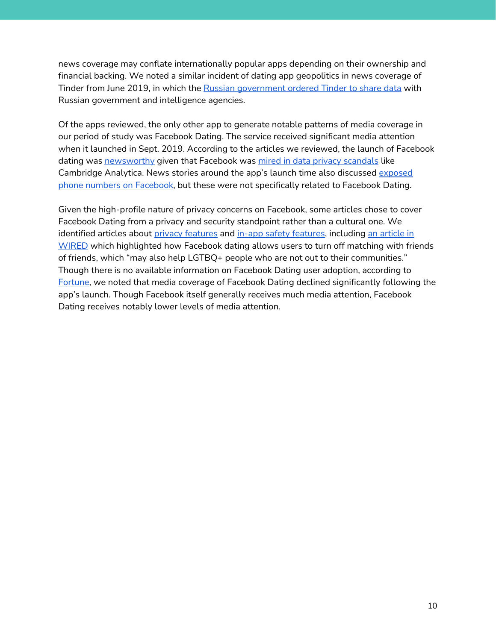news coverage may conflate internationally popular apps depending on their ownership and financial backing. We noted a similar incident of dating app geopolitics in news coverage of Tinder from June 2019, in which the Russian [government](https://www.wsj.com/articles/russia-orders-tinder-to-share-user-data-amid-online-clampdown-11559572223) ordered Tinder to share data with Russian government and intelligence agencies.

Of the apps reviewed, the only other app to generate notable patterns of media coverage in our period of study was Facebook Dating. The service received significant media attention when it launched in Sept. 2019. According to the articles we reviewed, the launch of Facebook dating was [newsworthy](https://www.poconorecord.com/zz/lifestyle/20190905/facebook-just-launched-its-dating-app-in-us?rssfeed=true) given that Facebook was mired in data privacy [scandals](https://www.jacksonville.com/ZZ/news/20190905/friends-with-benefits-can-facebook-tackle-your-love-life?rssfeed=true) like Cambridge Analytica. News stories around the app's launch time also discussed [exposed](https://www.valleynewslive.com/content/news/As-Facebook-launches-Facebook-Dating-in-US-a-blog-finds-400-million-exposed-user-phone-numbers-559524951.html) phone numbers on [Facebook,](https://www.valleynewslive.com/content/news/As-Facebook-launches-Facebook-Dating-in-US-a-blog-finds-400-million-exposed-user-phone-numbers-559524951.html) but these were not specifically related to Facebook Dating.

Given the high-profile nature of privacy concerns on Facebook, some articles chose to cover Facebook Dating from a privacy and security standpoint rather than a cultural one. We identified articles about privacy [features](https://theweek.com/speedreads/863017/facebook-launches-dating-feature-inapp-safety-measures-secret-crushes) and in-app safety features, including an [article](https://www.wired.com/story/facebook-dating-in-the-us/) in [WIRED](https://www.wired.com/story/facebook-dating-in-the-us/) which highlighted how Facebook dating allows users to turn off matching with friends of friends, which "may also help LGTBQ+ people who are not out to their communities." Though there is no available information on Facebook Dating user adoption, according to [Fortune](https://fortune.com/2020/02/14/facebook-dating-competition-challenges/), we noted that media coverage of Facebook Dating declined significantly following the app's launch. Though Facebook itself generally receives much media attention, Facebook Dating receives notably lower levels of media attention.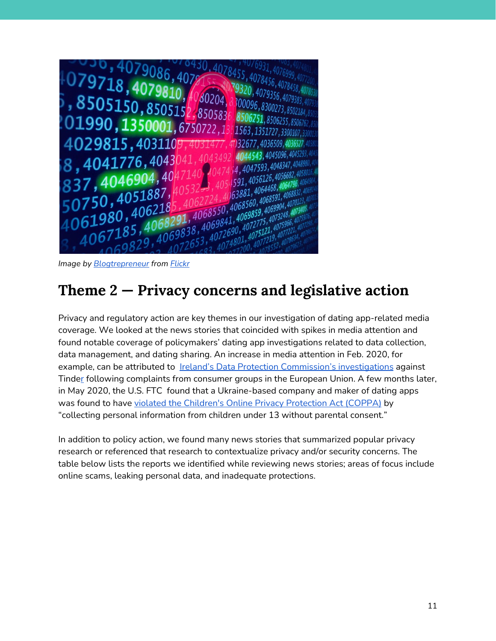

*Image by [Blogtrepreneur](https://www.flickr.com/photos/143601516@N03/) from [Flickr](https://www.flickr.com/photos/143601516@N03/29723649810/)*

#### <span id="page-11-0"></span>**Theme 2 — Privacy concerns and legislative action**

Privacy and regulatory action are key themes in our investigation of dating app-related media coverage. We looked at the news stories that coincided with spikes in media attention and found notable coverage of policymakers' dating app investigations related to data collection, data management, and dating sharing. An increase in media attention in Feb. 2020, for example, can be attributed to Ireland's Data Protection Commission's [investigations](https://apnews.com/article/d285384177e3ae1f9cc42b05b30266f9) against Tinde[r](https://apnews.com/article/d285384177e3ae1f9cc42b05b30266f9) following complaints from consumer groups in the European Union. A few months later, in May 2020, the U.S. FTC found that a Ukraine-based company and maker of dating apps was found to have violated the Children's Online Privacy [Protection](https://cbs58.com/news/apple-and-google-remove-dating-apps-ftc-says-expose-children-to-predators) Act (COPPA) by "collecting personal information from children under 13 without parental consent."

In addition to policy action, we found many news stories that summarized popular privacy research or referenced that research to contextualize privacy and/or security concerns. The table below lists the reports we identified while reviewing news stories; areas of focus include online scams, leaking personal data, and inadequate protections.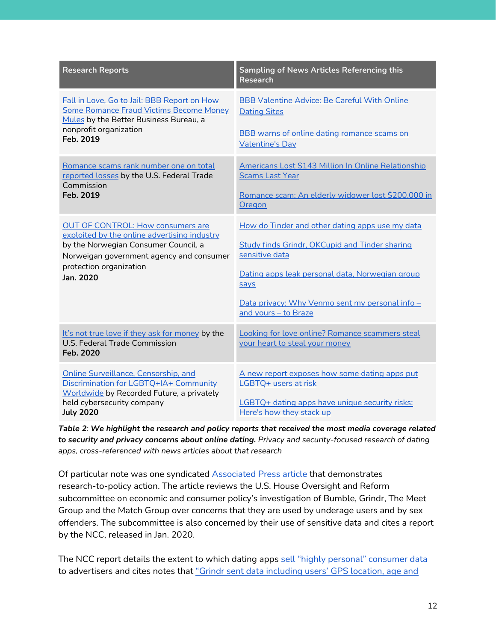| <b>Research Reports</b>                                                                                                                                                                                              | <b>Sampling of News Articles Referencing this</b><br><b>Research</b>              |
|----------------------------------------------------------------------------------------------------------------------------------------------------------------------------------------------------------------------|-----------------------------------------------------------------------------------|
| Fall in Love, Go to Jail: BBB Report on How<br><b>Some Romance Fraud Victims Become Money</b><br>Mules by the Better Business Bureau, a<br>nonprofit organization<br>Feb. 2019                                       | <b>BBB Valentine Advice: Be Careful With Online</b><br><b>Dating Sites</b>        |
|                                                                                                                                                                                                                      | <b>BBB</b> warns of online dating romance scams on<br><b>Valentine's Day</b>      |
| Romance scams rank number one on total<br>reported losses by the U.S. Federal Trade<br>Commission<br>Feb. 2019                                                                                                       | Americans Lost \$143 Million In Online Relationship<br><b>Scams Last Year</b>     |
|                                                                                                                                                                                                                      | Romance scam: An elderly widower lost \$200,000 in<br>Oregon                      |
| <b>OUT OF CONTROL: How consumers are</b><br>exploited by the online advertising industry<br>by the Norwegian Consumer Council, a<br>Norweigan government agency and consumer<br>protection organization<br>Jan. 2020 | How do Tinder and other dating apps use my data                                   |
|                                                                                                                                                                                                                      | <b>Study finds Grindr, OKCupid and Tinder sharing</b><br>sensitive data           |
|                                                                                                                                                                                                                      | Dating apps leak personal data, Norwegian group<br>says                           |
|                                                                                                                                                                                                                      | Data privacy: Why Venmo sent my personal info -<br>and yours - to Braze           |
| It's not true love if they ask for money by the<br>U.S. Federal Trade Commission<br>Feb. 2020                                                                                                                        | Looking for love online? Romance scammers steal<br>your heart to steal your money |
| Online Surveillance, Censorship, and<br>Discrimination for LGBTQ+IA+ Community<br>Worldwide by Recorded Future, a privately<br>held cybersecurity company<br><b>July 2020</b>                                        | A new report exposes how some dating apps put<br>LGBTQ+ users at risk             |
|                                                                                                                                                                                                                      | LGBTQ+ dating apps have unique security risks:<br>Here's how they stack up        |

*Table 2: We highlight the research and policy reports that received the most media coverage related to security and privacy concerns about online dating. Privacy and security-focused research of dating apps, cross-referenced with news articles about that research*

Of particular note was one syndicated [Associated](https://wsbt.com/news/nation-world/dating-apps-face-us-inquiry-over-underage-use-sex-offenders) Press article that demonstrates research-to-policy action. The article reviews the U.S. House Oversight and Reform subcommittee on economic and consumer policy's investigation of Bumble, Grindr, The Meet Group and the Match Group over concerns that they are used by underage users and by sex offenders. The subcommittee is also concerned by their use of sensitive data and cites a report by the NCC, released in Jan. 2020.

The NCC report details the extent to which dating apps sell "highly personal" [consumer](https://www.usatoday.com/story/tech/2020/01/15/tinder-grindr-okcupid-share-your-personal-information-study-says/4476084002/) data to advertisers and cites notes that "Grindr sent data [including](https://www.thelandmark.com/ZZ/news/20200114/dating-apps-leak-personal-data-norwegian-group-says?rssfeed=true) users' GPS location, age and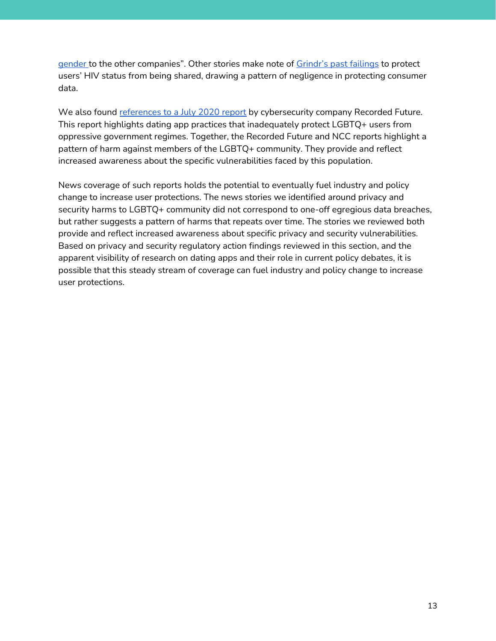[gender](https://www.thelandmark.com/ZZ/news/20200114/dating-apps-leak-personal-data-norwegian-group-says?rssfeed=true) to the other companies". Other stories make note of [Grindr's](https://www.vox.com/recode/2020/2/14/21137096/how-tinder-matches-work-algorithm-grindr-bumble-hinge-algorithms) past failings to protect users' HIV status from being shared, drawing a pattern of negligence in protecting consumer data.

We also found [references](https://wsbt.com/news/nation-world/dating-apps-face-us-inquiry-over-underage-use-sex-offenders) to a July 2020 report by cybersecurity company Recorded Future. This report highlights dating app practices that inadequately protect LGBTQ+ users from oppressive government regimes. Together, the Recorded Future and NCC reports highlight a pattern of harm against members of the LGBTQ+ community. They provide and reflect increased awareness about the specific vulnerabilities faced by this population.

News coverage of such reports holds the potential to eventually fuel industry and policy change to increase user protections. The news stories we identified around privacy and security harms to LGBTQ+ community did not correspond to one-off egregious data breaches, but rather suggests a pattern of harms that repeats over time. The stories we reviewed both provide and reflect increased awareness about specific privacy and security vulnerabilities. Based on privacy and security regulatory action findings reviewed in this section, and the apparent visibility of research on dating apps and their role in current policy debates, it is possible that this steady stream of coverage can fuel industry and policy change to increase user protections.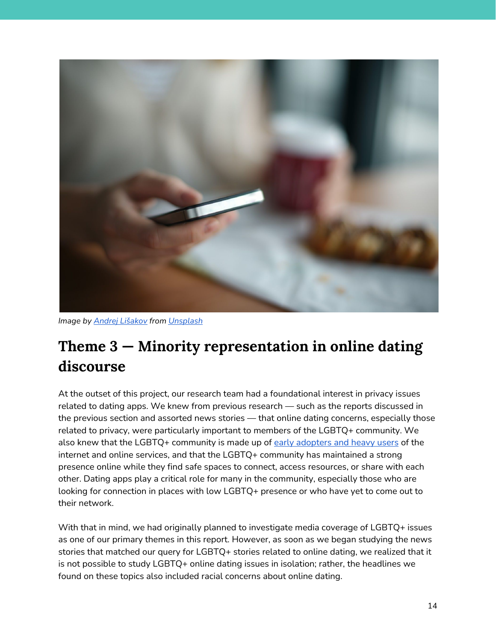

*Image by Andrej [Lišakov](https://unsplash.com/@lishakov) from [Unsplash](https://unsplash.com/photos/XL-hPDNeZvs?utm_source=unsplash&utm_medium=referral&utm_content=creditShareLink%20Theme%203%20%E2%80%94%20Minority%20representation%20in%20online%20dating%20discourse)*

# <span id="page-14-0"></span>**Theme 3 — Minority representation in online dating discourse**

At the outset of this project, our research team had a foundational interest in privacy issues related to dating apps. We knew from previous research — such as the reports discussed in the previous section and assorted news stories — that online dating concerns, especially those related to privacy, were particularly important to members of the LGBTQ+ community. We also knew that the LGBTQ+ community is made up of early [adopters](https://staysafeonline.org/blog/data-privacy-crucial-lgbt-community/) and heavy users of the internet and online services, and that the LGBTQ+ community has maintained a strong presence online while they find safe spaces to connect, access resources, or share with each other. Dating apps play a critical role for many in the community, especially those who are looking for connection in places with low LGBTQ+ presence or who have yet to come out to their network.

With that in mind, we had originally planned to investigate media coverage of LGBTQ+ issues as one of our primary themes in this report. However, as soon as we began studying the news stories that matched our query for LGBTQ+ stories related to online dating, we realized that it is not possible to study LGBTQ+ online dating issues in isolation; rather, the headlines we found on these topics also included racial concerns about online dating.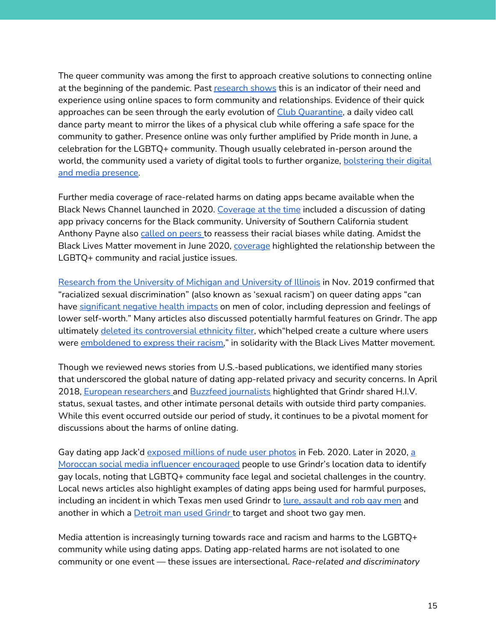The queer community was among the first to approach creative solutions to connecting online at the beginning of the pandemic. Past [research](https://staysafeonline.org/blog/data-privacy-crucial-lgbt-community/) shows this is an indicator of their need and experience using online spaces to form community and relationships. Evidence of their quick approaches can be seen through the early evolution of Club [Quarantine](https://www.thecut.com/2020/03/club-quarantine-is-zooms-hottest-new-queer-club.html), a daily video call dance party meant to mirror the likes of a physical club while offering a safe space for the community to gather. Presence online was only further amplified by Pride month in June, a celebration for the LGBTQ+ community. Though usually celebrated in-person around the world, the community used a variety of digital tools to further organize, [bolstering](https://www.thetelegram.com/news/world/pandemic-curtails-most-us-pride-events-but-some-march-on-467110/) their digital and media [presence.](https://www.thetelegram.com/news/world/pandemic-curtails-most-us-pride-events-but-some-march-on-467110/)

Further media coverage of race-related harms on dating apps became available when the Black News Channel launched in 2020. [Coverage](https://apnews.com/article/8ea6ce4909ab891316c89a42997b936c) at the time included a discussion of dating app privacy concerns for the Black community. University of Southern California student Anthony Payne also [called](https://dailytrojan.com/2020/04/24/usc-students-should-reassess-their-racial-biases-in-the-dating-world/) on peers to reassess their racial biases while dating. Amidst the Black Lives Matter movement in June 2020, [coverage](https://ca.news.yahoo.com/queer-liberation-march-floods-york-214245292.html) highlighted the relationship between the LGBTQ+ community and racial justice issues.

Research from the [University](https://news.illinois.edu/view/6367/804456) of Michigan and University of Illinois in Nov. 2019 confirmed that "racialized sexual discrimination" (also known as 'sexual racism') on queer dating apps "can have [significant](https://www.insider.com/sexual-racism-queer-men-dating-apps-grindr-2019-11) negative health impacts on men of color, including depression and feelings of lower self-worth." Many articles also discussed potentially harmful features on Grindr. The app ultimately deleted its [controversial](https://theconversation.com/grindr-is-deleting-its-ethnicity-filter-but-racism-is-still-rife-in-online-dating-140077) ethnicity filter, which"helped create a culture where users were [emboldened](https://link.springer.com/article/10.1007/s10508-015-0487-3) to express their racism," in solidarity with the Black Lives Matter movement.

Though we reviewed news stories from U.S.-based publications, we identified many stories that underscored the global nature of dating app-related privacy and security concerns. In April 2018, European [researchers](https://github.com/SINTEF-9012/grindr-privacy-leaks) and Buzzfeed [journalists](https://www.buzzfeednews.com/article/azeenghorayshi/grindr-hiv-status-privacy) highlighted that Grindr shared H.I.V. status, sexual tastes, and other intimate personal details with outside third party companies. While this event occurred outside our period of study, it continues to be a pivotal moment for discussions about the harms of online dating.

Gay dating app Jack'd [exposed](https://arstechnica.com/information-technology/2019/02/indecent-disclosure-gay-dating-app-left-private-exposed-to-web/) millions of nude user photos in Feb. 2020. L[a](https://www.gaycitynews.com/moroccans-use-grindr-location-data-to-out-target-gay-men/)ter in 2020, a Moroccan social media influencer [encouraged](https://www.gaycitynews.com/moroccans-use-grindr-location-data-to-out-target-gay-men/) people to use Grindr's location data to identify gay locals, noting that LGBTQ+ community face legal and societal challenges in the country. Local news articles also highlight examples of dating apps being used for harmful purposes, including an incident in which Texas men used Grindr to lure, [assault](https://www.metroweekly.com/2019/04/texas-man-pleads-guilty-to-using-grindr-to-lure-assault-and-rob-gay-men/) and rob gay men and another in which a **[Detroit](https://www.kxlf.com/cnn-national/2019/07/12/two-men-in-detroit-were-shot-for-being-gay-prosecutors-say/) man used Grindr** to target and shoot two gay men.

Media attention is increasingly turning towards race and racism and harms to the LGBTQ+ community while using dating apps. Dating app-related harms are not isolated to one community or one event — these issues are intersectional. *Race-related and discriminatory*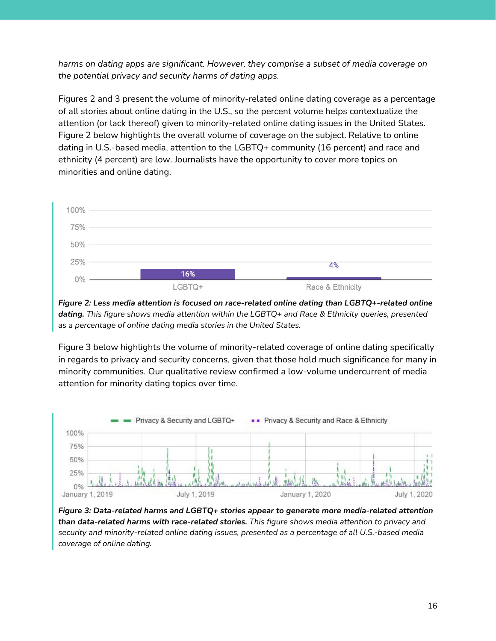*harms on dating apps are significant. However, they comprise a subset of media coverage on the potential privacy and security harms of dating apps.*

Figures 2 and 3 present the volume of minority-related online dating coverage as a percentage of all stories about online dating in the U.S., so the percent volume helps contextualize the attention (or lack thereof) given to minority-related online dating issues in the United States. Figure 2 below highlights the overall volume of coverage on the subject. Relative to online dating in U.S.-based media, attention to the LGBTQ+ community (16 percent) and race and ethnicity (4 percent) are low. Journalists have the opportunity to cover more topics on minorities and online dating.



*Figure 2: Less media attention is focused on race-related online dating than LGBTQ+-related online dating. This figure shows media attention within the LGBTQ+ and Race & Ethnicity queries, presented as a percentage of online dating media stories in the United States.*

Figure 3 below highlights the volume of minority-related coverage of online dating specifically in regards to privacy and security concerns, given that those hold much significance for many in minority communities. Our qualitative review confirmed a low-volume undercurrent of media attention for minority dating topics over time.



*Figure 3: Data-related harms and LGBTQ+ stories appear to generate more media-related attention than data-related harms with race-related stories. This figure shows media attention to privacy and security and minority-related online dating issues, presented as a percentage of all U.S.-based media coverage of online dating.*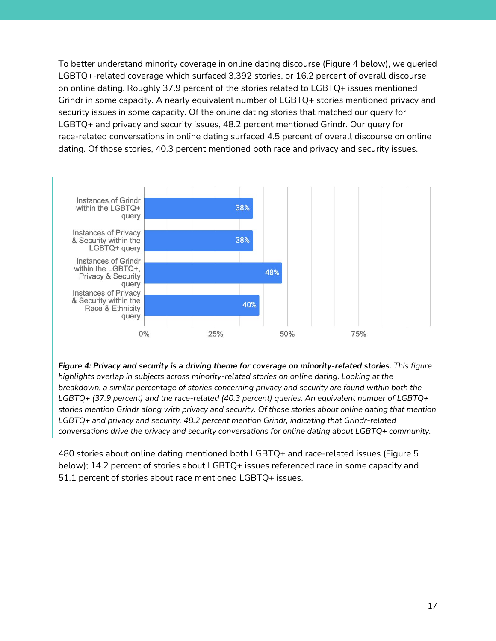To better understand minority coverage in online dating discourse (Figure 4 below), we queried LGBTQ+-related coverage which surfaced 3,392 stories, or 16.2 percent of overall discourse on online dating. Roughly 37.9 percent of the stories related to LGBTQ+ issues mentioned Grindr in some capacity. A nearly equivalent number of LGBTQ+ stories mentioned privacy and security issues in some capacity. Of the online dating stories that matched our query for LGBTQ+ and privacy and security issues, 48.2 percent mentioned Grindr. Our query for race-related conversations in online dating surfaced 4.5 percent of overall discourse on online dating. Of those stories, 40.3 percent mentioned both race and privacy and security issues.



*Figure 4: Privacy and security is a driving theme for coverage on minority-related stories. This figure highlights overlap in subjects across minority-related stories on online dating. Looking at the breakdown, a similar percentage of stories concerning privacy and security are found within both the LGBTQ+ (37.9 percent) and the race-related (40.3 percent) queries. An equivalent number of LGBTQ+ stories mention Grindr along with privacy and security. Of those stories about online dating that mention LGBTQ+ and privacy and security, 48.2 percent mention Grindr, indicating that Grindr-related conversations drive the privacy and security conversations for online dating about LGBTQ+ community.*

480 stories about online dating mentioned both LGBTQ+ and race-related issues (Figure 5 below); 14.2 percent of stories about LGBTQ+ issues referenced race in some capacity and 51.1 percent of stories about race mentioned LGBTQ+ issues.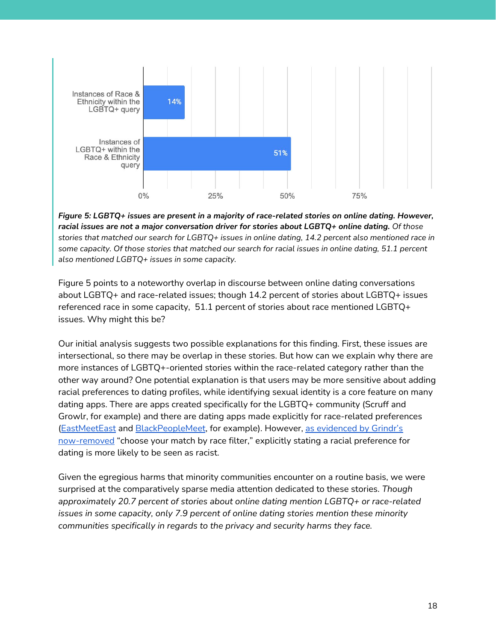

*Figure 5: LGBTQ+ issues are present in a majority of race-related stories on online dating. However, racial issues are not a major conversation driver for stories about LGBTQ+ online dating. Of those stories that matched our search for LGBTQ+ issues in online dating, 14.2 percent also mentioned race in some capacity. Of those stories that matched our search for racial issues in online dating, 51.1 percent also mentioned LGBTQ+ issues in some capacity.*

Figure 5 points to a noteworthy overlap in discourse between online dating conversations about LGBTQ+ and race-related issues; though 14.2 percent of stories about LGBTQ+ issues referenced race in some capacity, 51.1 percent of stories about race mentioned LGBTQ+ issues. Why might this be?

Our initial analysis suggests two possible explanations for this finding. First, these issues are intersectional, so there may be overlap in these stories. But how can we explain why there are more instances of LGBTQ+-oriented stories within the race-related category rather than the other way around? One potential explanation is that users may be more sensitive about adding racial preferences to dating profiles, while identifying sexual identity is a core feature on many dating apps. There are apps created specifically for the LGBTQ+ community (Scruff and Growlr, for example) and there are dating apps made explicitly for race-related preferences ([EastMeetEast](https://www.gq.com/story/eastmeeteast-asians-only-dating-app) and [BlackPeopleMeet,](https://www.blackpeoplemeet.com/) for example). However, as [evidenced](https://www.bbc.com/news/technology-52886167) by Grindr's [now-removed](https://www.bbc.com/news/technology-52886167) "choose your match by race filter," explicitly stating a racial preference for dating is more likely to be seen as racist.

Given the egregious harms that minority communities encounter on a routine basis, we were surprised at the comparatively sparse media attention dedicated to these stories. *Though approximately 20.7 percent of stories about online dating mention LGBTQ+ or race-related issues in some capacity, only 7.9 percent of online dating stories mention these minority communities specifically in regards to the privacy and security harms they face.*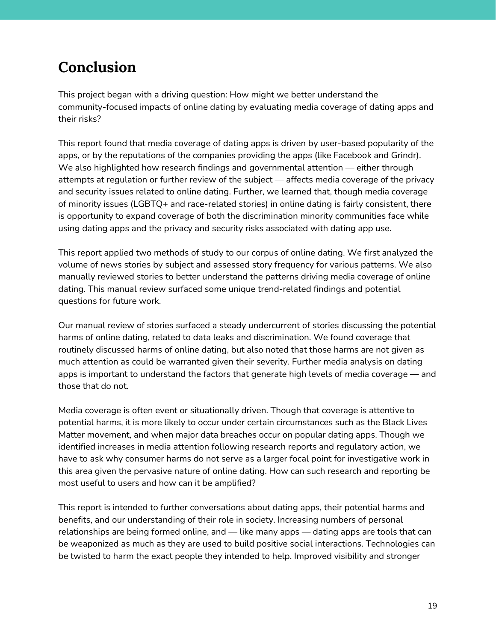#### <span id="page-19-0"></span>**Conclusion**

This project began with a driving question: How might we better understand the community-focused impacts of online dating by evaluating media coverage of dating apps and their risks?

This report found that media coverage of dating apps is driven by user-based popularity of the apps, or by the reputations of the companies providing the apps (like Facebook and Grindr). We also highlighted how research findings and governmental attention — either through attempts at regulation or further review of the subject — affects media coverage of the privacy and security issues related to online dating. Further, we learned that, though media coverage of minority issues (LGBTQ+ and race-related stories) in online dating is fairly consistent, there is opportunity to expand coverage of both the discrimination minority communities face while using dating apps and the privacy and security risks associated with dating app use.

This report applied two methods of study to our corpus of online dating. We first analyzed the volume of news stories by subject and assessed story frequency for various patterns. We also manually reviewed stories to better understand the patterns driving media coverage of online dating. This manual review surfaced some unique trend-related findings and potential questions for future work.

Our manual review of stories surfaced a steady undercurrent of stories discussing the potential harms of online dating, related to data leaks and discrimination. We found coverage that routinely discussed harms of online dating, but also noted that those harms are not given as much attention as could be warranted given their severity. Further media analysis on dating apps is important to understand the factors that generate high levels of media coverage — and those that do not.

Media coverage is often event or situationally driven. Though that coverage is attentive to potential harms, it is more likely to occur under certain circumstances such as the Black Lives Matter movement, and when major data breaches occur on popular dating apps. Though we identified increases in media attention following research reports and regulatory action, we have to ask why consumer harms do not serve as a larger focal point for investigative work in this area given the pervasive nature of online dating. How can such research and reporting be most useful to users and how can it be amplified?

This report is intended to further conversations about dating apps, their potential harms and benefits, and our understanding of their role in society. Increasing numbers of personal relationships are being formed online, and — like many apps — dating apps are tools that can be weaponized as much as they are used to build positive social interactions. Technologies can be twisted to harm the exact people they intended to help. Improved visibility and stronger